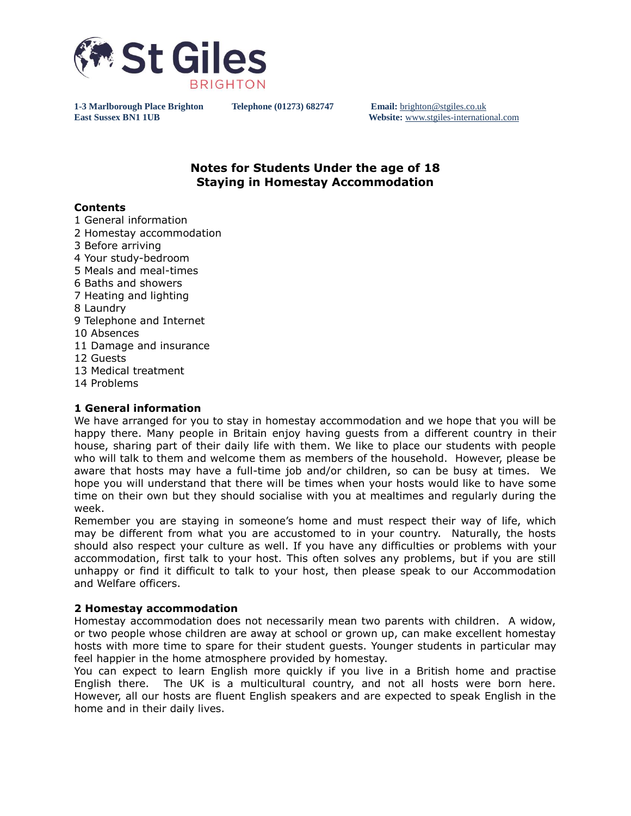

**East Sussex BN1 1UB Website:** [www.stgiles-international.com](http://www.stgiles-international.com/)

# **Notes for Students Under the age of 18 Staying in Homestay Accommodation**

# **Contents**

1 General information 2 Homestay accommodation 3 Before arriving 4 Your study-bedroom 5 Meals and meal-times 6 Baths and showers 7 Heating and lighting 8 Laundry 9 Telephone and Internet 10 Absences 11 Damage and insurance 12 Guests 13 Medical treatment 14 Problems

# **1 General information**

We have arranged for you to stay in homestay accommodation and we hope that you will be happy there. Many people in Britain enjoy having guests from a different country in their house, sharing part of their daily life with them. We like to place our students with people who will talk to them and welcome them as members of the household. However, please be aware that hosts may have a full-time job and/or children, so can be busy at times. We hope you will understand that there will be times when your hosts would like to have some time on their own but they should socialise with you at mealtimes and regularly during the week.

Remember you are staying in someone's home and must respect their way of life, which may be different from what you are accustomed to in your country. Naturally, the hosts should also respect your culture as well. If you have any difficulties or problems with your accommodation, first talk to your host. This often solves any problems, but if you are still unhappy or find it difficult to talk to your host, then please speak to our Accommodation and Welfare officers.

# **2 Homestay accommodation**

Homestay accommodation does not necessarily mean two parents with children. A widow, or two people whose children are away at school or grown up, can make excellent homestay hosts with more time to spare for their student guests. Younger students in particular may feel happier in the home atmosphere provided by homestay.

You can expect to learn English more quickly if you live in a British home and practise English there. The UK is a multicultural country, and not all hosts were born here. However, all our hosts are fluent English speakers and are expected to speak English in the home and in their daily lives.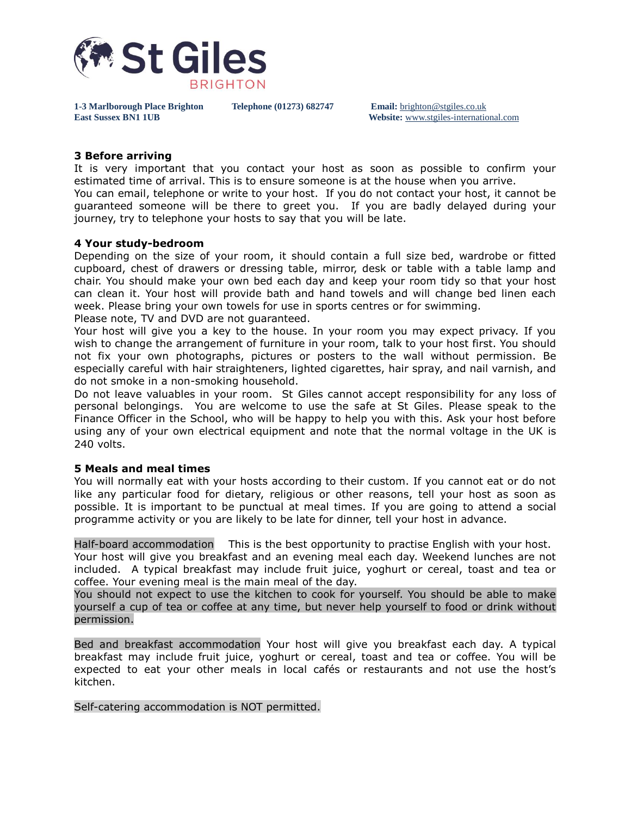

**East Sussex BN1 1UB Website:** [www.stgiles-international.com](http://www.stgiles-international.com/)

### **3 Before arriving**

It is very important that you contact your host as soon as possible to confirm your estimated time of arrival. This is to ensure someone is at the house when you arrive.

You can email, telephone or write to your host. If you do not contact your host, it cannot be guaranteed someone will be there to greet you. If you are badly delayed during your journey, try to telephone your hosts to say that you will be late.

### **4 Your study-bedroom**

Depending on the size of your room, it should contain a full size bed, wardrobe or fitted cupboard, chest of drawers or dressing table, mirror, desk or table with a table lamp and chair. You should make your own bed each day and keep your room tidy so that your host can clean it. Your host will provide bath and hand towels and will change bed linen each week. Please bring your own towels for use in sports centres or for swimming. Please note, TV and DVD are not guaranteed.

Your host will give you a key to the house. In your room you may expect privacy. If you wish to change the arrangement of furniture in your room, talk to your host first. You should not fix your own photographs, pictures or posters to the wall without permission. Be especially careful with hair straighteners, lighted cigarettes, hair spray, and nail varnish, and do not smoke in a non-smoking household.

Do not leave valuables in your room. St Giles cannot accept responsibility for any loss of personal belongings. You are welcome to use the safe at St Giles. Please speak to the Finance Officer in the School, who will be happy to help you with this. Ask your host before using any of your own electrical equipment and note that the normal voltage in the UK is 240 volts.

### **5 Meals and meal times**

You will normally eat with your hosts according to their custom. If you cannot eat or do not like any particular food for dietary, religious or other reasons, tell your host as soon as possible. It is important to be punctual at meal times. If you are going to attend a social programme activity or you are likely to be late for dinner, tell your host in advance.

Half-board accommodation This is the best opportunity to practise English with your host. Your host will give you breakfast and an evening meal each day. Weekend lunches are not included. A typical breakfast may include fruit juice, yoghurt or cereal, toast and tea or coffee. Your evening meal is the main meal of the day.

You should not expect to use the kitchen to cook for yourself. You should be able to make yourself a cup of tea or coffee at any time, but never help yourself to food or drink without permission.

Bed and breakfast accommodation Your host will give you breakfast each day. A typical breakfast may include fruit juice, yoghurt or cereal, toast and tea or coffee. You will be expected to eat your other meals in local cafés or restaurants and not use the host's kitchen.

Self-catering accommodation is NOT permitted.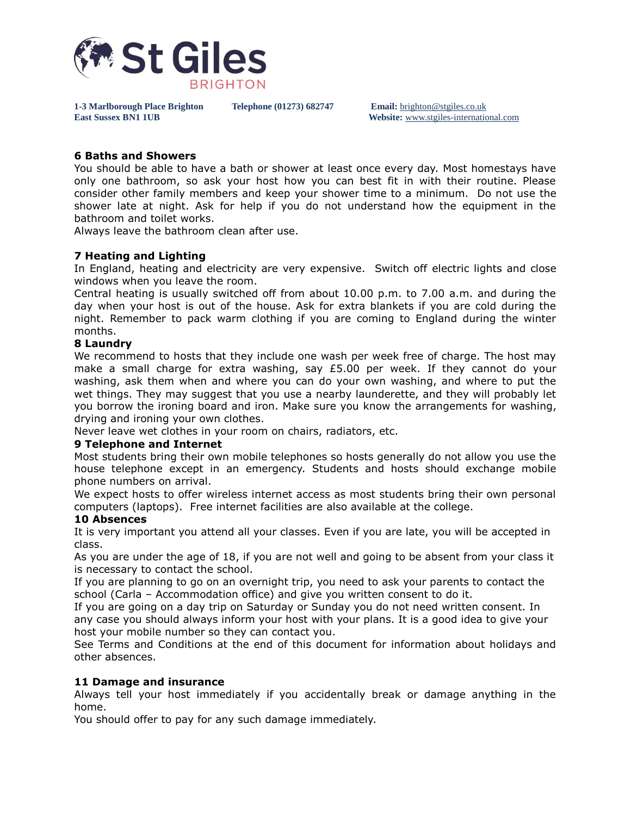

**East Sussex BN1 1UB Website:** [www.stgiles-international.com](http://www.stgiles-international.com/)

### **6 Baths and Showers**

You should be able to have a bath or shower at least once every day. Most homestays have only one bathroom, so ask your host how you can best fit in with their routine. Please consider other family members and keep your shower time to a minimum. Do not use the shower late at night. Ask for help if you do not understand how the equipment in the bathroom and toilet works.

Always leave the bathroom clean after use.

# **7 Heating and Lighting**

In England, heating and electricity are very expensive. Switch off electric lights and close windows when you leave the room.

Central heating is usually switched off from about 10.00 p.m. to 7.00 a.m. and during the day when your host is out of the house. Ask for extra blankets if you are cold during the night. Remember to pack warm clothing if you are coming to England during the winter months.

### **8 Laundry**

We recommend to hosts that they include one wash per week free of charge. The host may make a small charge for extra washing, say £5.00 per week. If they cannot do your washing, ask them when and where you can do your own washing, and where to put the wet things. They may suggest that you use a nearby launderette, and they will probably let you borrow the ironing board and iron. Make sure you know the arrangements for washing, drying and ironing your own clothes.

Never leave wet clothes in your room on chairs, radiators, etc.

### **9 Telephone and Internet**

Most students bring their own mobile telephones so hosts generally do not allow you use the house telephone except in an emergency. Students and hosts should exchange mobile phone numbers on arrival.

We expect hosts to offer wireless internet access as most students bring their own personal computers (laptops). Free internet facilities are also available at the college.

### **10 Absences**

It is very important you attend all your classes. Even if you are late, you will be accepted in class.

As you are under the age of 18, if you are not well and going to be absent from your class it is necessary to contact the school.

If you are planning to go on an overnight trip, you need to ask your parents to contact the school (Carla – Accommodation office) and give you written consent to do it.

If you are going on a day trip on Saturday or Sunday you do not need written consent. In any case you should always inform your host with your plans. It is a good idea to give your host your mobile number so they can contact you.

See Terms and Conditions at the end of this document for information about holidays and other absences.

### **11 Damage and insurance**

Always tell your host immediately if you accidentally break or damage anything in the home.

You should offer to pay for any such damage immediately.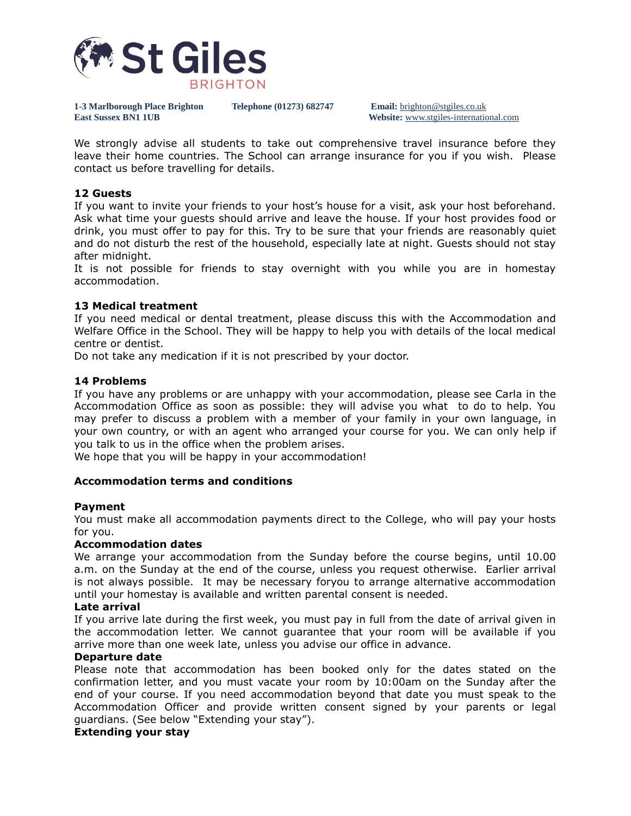

**East Sussex BN1 1UB Website:** [www.stgiles-international.com](http://www.stgiles-international.com/)

We strongly advise all students to take out comprehensive travel insurance before they leave their home countries. The School can arrange insurance for you if you wish. Please contact us before travelling for details.

# **12 Guests**

If you want to invite your friends to your host's house for a visit, ask your host beforehand. Ask what time your guests should arrive and leave the house. If your host provides food or drink, you must offer to pay for this. Try to be sure that your friends are reasonably quiet and do not disturb the rest of the household, especially late at night. Guests should not stay after midnight.

It is not possible for friends to stay overnight with you while you are in homestay accommodation.

# **13 Medical treatment**

If you need medical or dental treatment, please discuss this with the Accommodation and Welfare Office in the School. They will be happy to help you with details of the local medical centre or dentist.

Do not take any medication if it is not prescribed by your doctor.

### **14 Problems**

If you have any problems or are unhappy with your accommodation, please see Carla in the Accommodation Office as soon as possible: they will advise you what to do to help. You may prefer to discuss a problem with a member of your family in your own language, in your own country, or with an agent who arranged your course for you. We can only help if you talk to us in the office when the problem arises.

We hope that you will be happy in your accommodation!

# **Accommodation terms and conditions**

### **Payment**

You must make all accommodation payments direct to the College, who will pay your hosts for you.

### **Accommodation dates**

We arrange your accommodation from the Sunday before the course begins, until 10.00 a.m. on the Sunday at the end of the course, unless you request otherwise. Earlier arrival is not always possible. It may be necessary foryou to arrange alternative accommodation until your homestay is available and written parental consent is needed.

### **Late arrival**

If you arrive late during the first week, you must pay in full from the date of arrival given in the accommodation letter. We cannot guarantee that your room will be available if you arrive more than one week late, unless you advise our office in advance.

# **Departure date**

Please note that accommodation has been booked only for the dates stated on the confirmation letter, and you must vacate your room by 10:00am on the Sunday after the end of your course. If you need accommodation beyond that date you must speak to the Accommodation Officer and provide written consent signed by your parents or legal guardians. (See below "Extending your stay").

### **Extending your stay**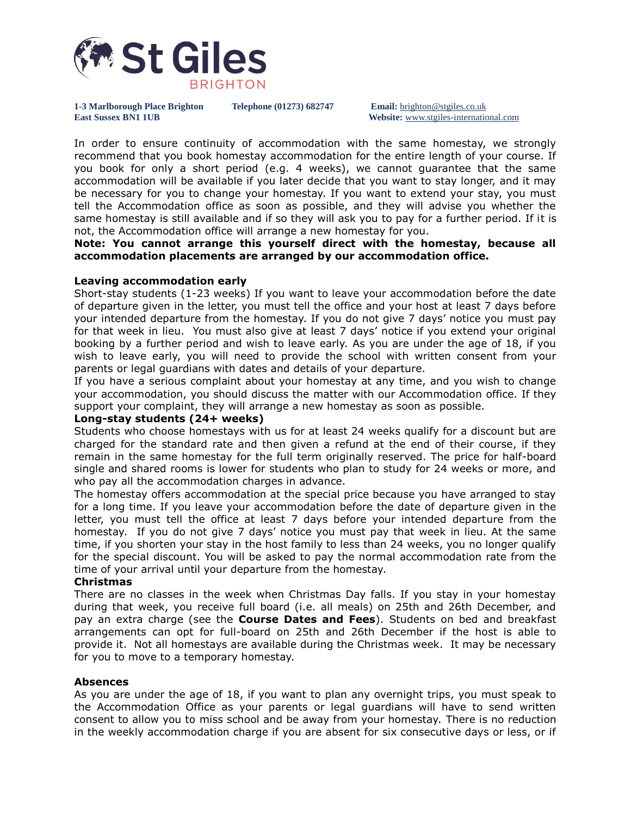

**East Sussex BN1 1UB Website:** [www.stgiles-international.com](http://www.stgiles-international.com/)

In order to ensure continuity of accommodation with the same homestay, we strongly recommend that you book homestay accommodation for the entire length of your course. If you book for only a short period (e.g. 4 weeks), we cannot guarantee that the same accommodation will be available if you later decide that you want to stay longer, and it may be necessary for you to change your homestay. If you want to extend your stay, you must tell the Accommodation office as soon as possible, and they will advise you whether the same homestay is still available and if so they will ask you to pay for a further period. If it is not, the Accommodation office will arrange a new homestay for you.

**Note: You cannot arrange this yourself direct with the homestay, because all accommodation placements are arranged by our accommodation office.**

# **Leaving accommodation early**

Short-stay students (1-23 weeks) If you want to leave your accommodation before the date of departure given in the letter, you must tell the office and your host at least 7 days before your intended departure from the homestay. If you do not give 7 days' notice you must pay for that week in lieu. You must also give at least 7 days' notice if you extend your original booking by a further period and wish to leave early. As you are under the age of 18, if you wish to leave early, you will need to provide the school with written consent from your parents or legal guardians with dates and details of your departure.

If you have a serious complaint about your homestay at any time, and you wish to change your accommodation, you should discuss the matter with our Accommodation office. If they support your complaint, they will arrange a new homestay as soon as possible.

# **Long-stay students (24+ weeks)**

Students who choose homestays with us for at least 24 weeks qualify for a discount but are charged for the standard rate and then given a refund at the end of their course, if they remain in the same homestay for the full term originally reserved. The price for half-board single and shared rooms is lower for students who plan to study for 24 weeks or more, and who pay all the accommodation charges in advance.

The homestay offers accommodation at the special price because you have arranged to stay for a long time. If you leave your accommodation before the date of departure given in the letter, you must tell the office at least 7 days before your intended departure from the homestay. If you do not give 7 days' notice you must pay that week in lieu. At the same time, if you shorten your stay in the host family to less than 24 weeks, you no longer qualify for the special discount. You will be asked to pay the normal accommodation rate from the time of your arrival until your departure from the homestay.

### **Christmas**

There are no classes in the week when Christmas Day falls. If you stay in your homestay during that week, you receive full board (i.e. all meals) on 25th and 26th December, and pay an extra charge (see the **Course Dates and Fees**). Students on bed and breakfast arrangements can opt for full-board on 25th and 26th December if the host is able to provide it. Not all homestays are available during the Christmas week. It may be necessary for you to move to a temporary homestay.

### **Absences**

As you are under the age of 18, if you want to plan any overnight trips, you must speak to the Accommodation Office as your parents or legal guardians will have to send written consent to allow you to miss school and be away from your homestay. There is no reduction in the weekly accommodation charge if you are absent for six consecutive days or less, or if